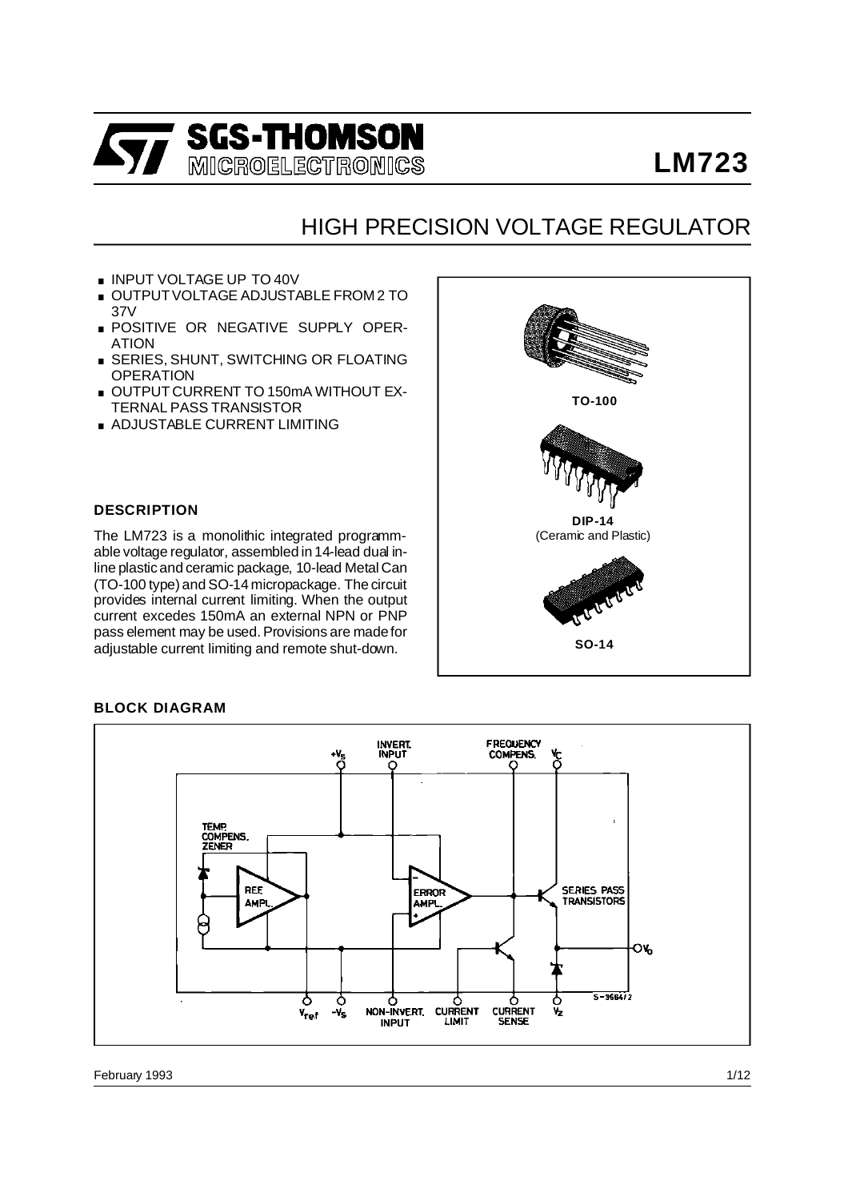

# **LM723**

# HIGH PRECISION VOLTAGE REGULATOR

- **INPUT VOLTAGE UP TO 40V**
- OUTPUT VOLTAGE ADJUSTABLE FROM 2 TO 37V
- **POSITIVE OR NEGATIVE SUPPLY OPER-**ATION
- **EXERIES, SHUNT, SWITCHING OR FLOATING OPERATION**
- **DUTPUT CURRENT TO 150mA WITHOUT EX-**TERNAL PASS TRANSISTOR
- . ADJUSTABLE CURRENT LIMITING

## **DESCRIPTION**

The LM723 is a monolithic integrated programm- (Ceramic and Plastic) able voltage regulator, assembled in 14-lead dual inline plastic and ceramic package, 10-lead Metal Can (TO-100 type) and SO-14 micropackage. The circuit provides internal current limiting. When the output current excedes 150mA an external NPN or PNP pass element may be used. Provisions are madefor adjustable current limiting and remote shut-down.



## **BLOCK DIAGRAM**

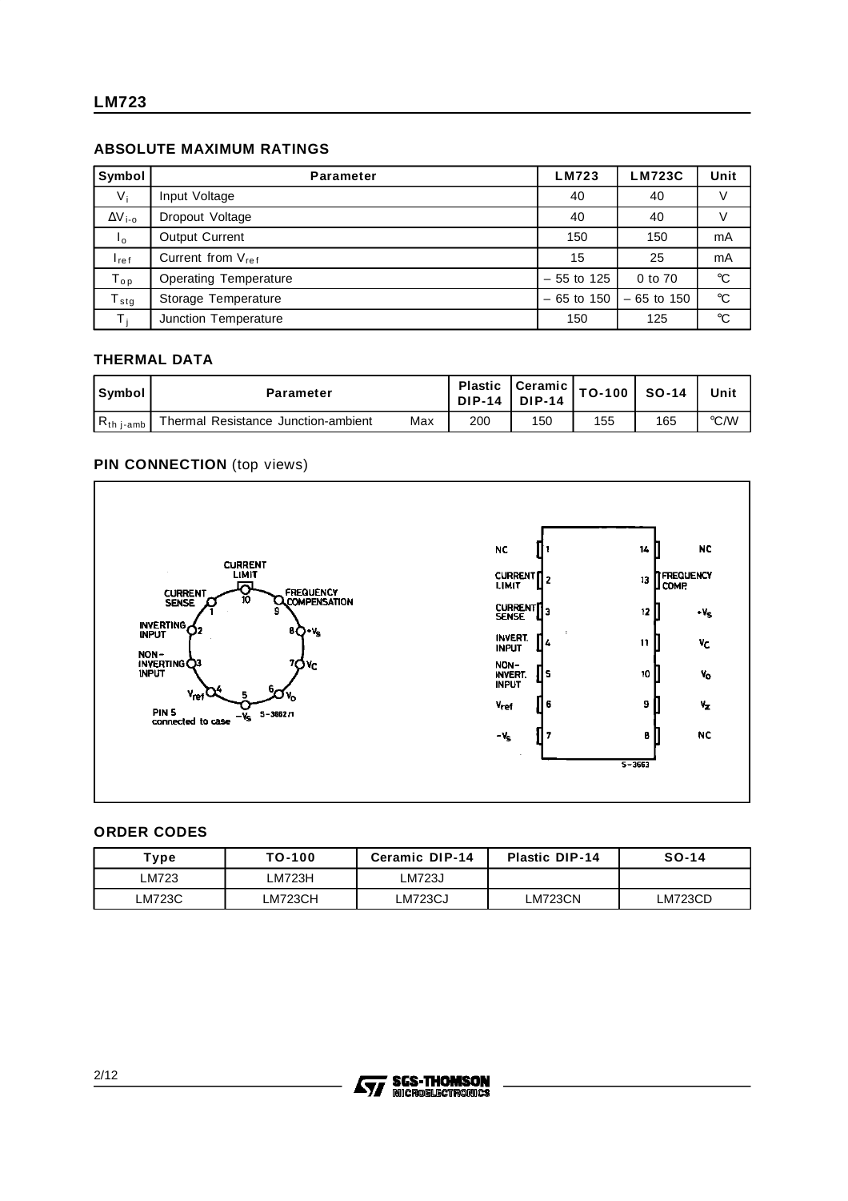# **ABSOLUTE MAXIMUM RATINGS**

| Symbol           | <b>Parameter</b>              | LM723        | <b>LM723C</b> | Unit            |
|------------------|-------------------------------|--------------|---------------|-----------------|
| $V_i$            | Input Voltage                 | 40           | 40            | V               |
| $\Delta V_{i-0}$ | Dropout Voltage               | 40           | 40            |                 |
| $l_{0}$          | <b>Output Current</b>         | 150          | 150           | mA              |
| $I_{ref}$        | Current from V <sub>ref</sub> | 15           | 25            | mA              |
| $T_{op}$         | <b>Operating Temperature</b>  | $-55$ to 125 | 0 to 70       | $\rm ^{\circ}C$ |
| i stg            | Storage Temperature           | $-65$ to 150 | $-65$ to 150  | $^{\circ}C$     |
| т.               | <b>Junction Temperature</b>   | 150          | 125           | $^{\circ}C$     |

# **THERMAL DATA**

| Symbol                 | Parameter                           |     | DIP-14 DIP-14 | Plastic Ceramic <sub>  TO-100</sub>   so |     | $SO-14$ | Unit |
|------------------------|-------------------------------------|-----|---------------|------------------------------------------|-----|---------|------|
| $R_{th\ i\text{-amb}}$ | Thermal Resistance Junction-ambient | Max | 200           | 150                                      | 155 | 165     | °C/W |

## **PIN CONNECTION** (top views)



#### **ORDER CODES**

| Type   | TO-100  | <b>Ceramic DIP-14</b> | <b>Plastic DIP-14</b> | $SO-14$        |
|--------|---------|-----------------------|-----------------------|----------------|
| LM723  | LM723H  | LM723J                |                       |                |
| LM723C | LM723CH | ∟M723CJ               | LM723CN               | <b>LM723CD</b> |

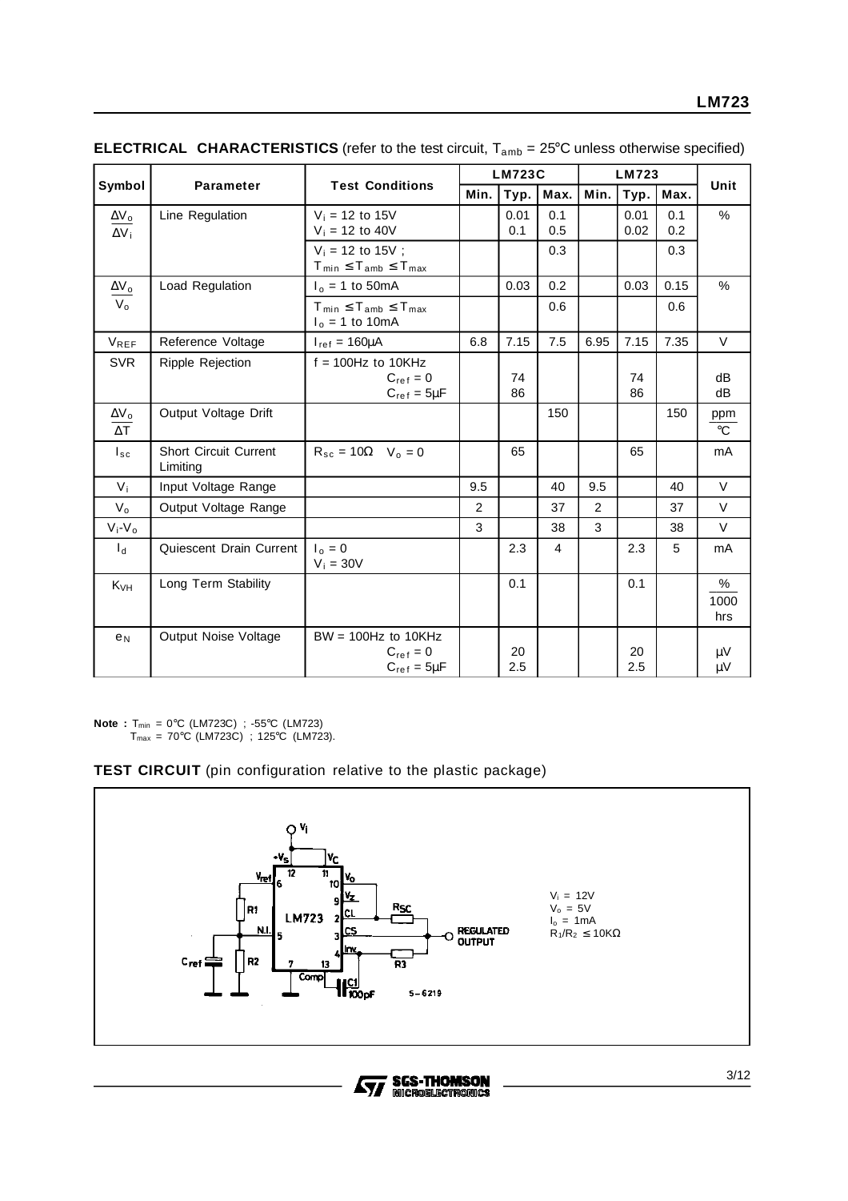|                                                   |                                          |                                                                 |      | <b>LM723C</b> |                |      | LM723        |            |                     |
|---------------------------------------------------|------------------------------------------|-----------------------------------------------------------------|------|---------------|----------------|------|--------------|------------|---------------------|
| Symbol                                            | Parameter                                | <b>Test Conditions</b>                                          | Min. | Typ.          | Max.           | Min. | Typ.         | Max.       | Unit                |
| $\Delta V_{o}$<br>$\Delta V_i$                    | Line Regulation                          | $V_i = 12$ to 15V<br>$V_i = 12$ to 40V                          |      | 0.01<br>0.1   | 0.1<br>0.5     |      | 0.01<br>0.02 | 0.1<br>0.2 | %                   |
|                                                   |                                          | $V_i = 12$ to 15V ;<br>$T_{min} \leq T_{amb} \leq T_{max}$      |      |               | 0.3            |      |              | 0.3        |                     |
| $\Delta V_o$                                      | Load Regulation                          | $I_0 = 1$ to 50 mA                                              |      | 0.03          | 0.2            |      | 0.03         | 0.15       | $\frac{0}{0}$       |
| $V_{o}$                                           |                                          | $T_{min} \leq T_{amb} \leq T_{max}$<br>$I_0 = 1$ to 10mA        |      |               | 0.6            |      |              | 0.6        |                     |
| VREF                                              | Reference Voltage                        | $I_{ref} = 160 \mu A$                                           | 6.8  | 7.15          | 7.5            | 6.95 | 7.15         | 7.35       | $\vee$              |
| <b>SVR</b>                                        | Ripple Rejection                         | $f = 100$ Hz to $10$ KHz<br>$C_{ref} = 0$<br>$C_{ref} = 5\mu F$ |      | 74<br>86      |                |      | 74<br>86     |            | dB<br>dB            |
| $\underline{\Delta V_0}$<br>$\overline{\Delta T}$ | Output Voltage Drift                     |                                                                 |      |               | 150            |      |              | 150        | ppm<br>$^{\circ}C$  |
| $I_{sc}$                                          | <b>Short Circuit Current</b><br>Limiting | $R_{sc} = 10\Omega$ $V_0 = 0$                                   |      | 65            |                |      | 65           |            | mA                  |
| $V_i$                                             | Input Voltage Range                      |                                                                 | 9.5  |               | 40             | 9.5  |              | 40         | $\vee$              |
| $V_{o}$                                           | Output Voltage Range                     |                                                                 | 2    |               | 37             | 2    |              | 37         | $\vee$              |
| $V_i$ - $V_o$                                     |                                          |                                                                 | 3    |               | 38             | 3    |              | 38         | $\vee$              |
| $\mathsf{I}_{\mathsf{d}}$                         | Quiescent Drain Current                  | $I_0 = 0$<br>$V_i = 30V$                                        |      | 2.3           | $\overline{4}$ |      | 2.3          | 5          | mA                  |
| $K_{VH}$                                          | Long Term Stability                      |                                                                 |      | 0.1           |                |      | 0.1          |            | $\%$<br>1000<br>hrs |
| e <sub>N</sub>                                    | Output Noise Voltage                     | $BW = 100Hz$ to 10KHz<br>$C_{ref} = 0$<br>$C_{ref} = 5\mu F$    |      | 20<br>2.5     |                |      | 20<br>2.5    |            | μV<br>μV            |

**ELECTRICAL CHARACTERISTICS** (refer to the test circuit,  $T_{amb} = 25^{\circ}$ C unless otherwise specified)

**Note :** Tmin = 0°C (LM723C) ; -55°C (LM723)  $T_{max}$  = 70°C (LM723C) ; 125°C (LM723).

# **TEST CIRCUIT** (pin configuration relative to the plastic package)

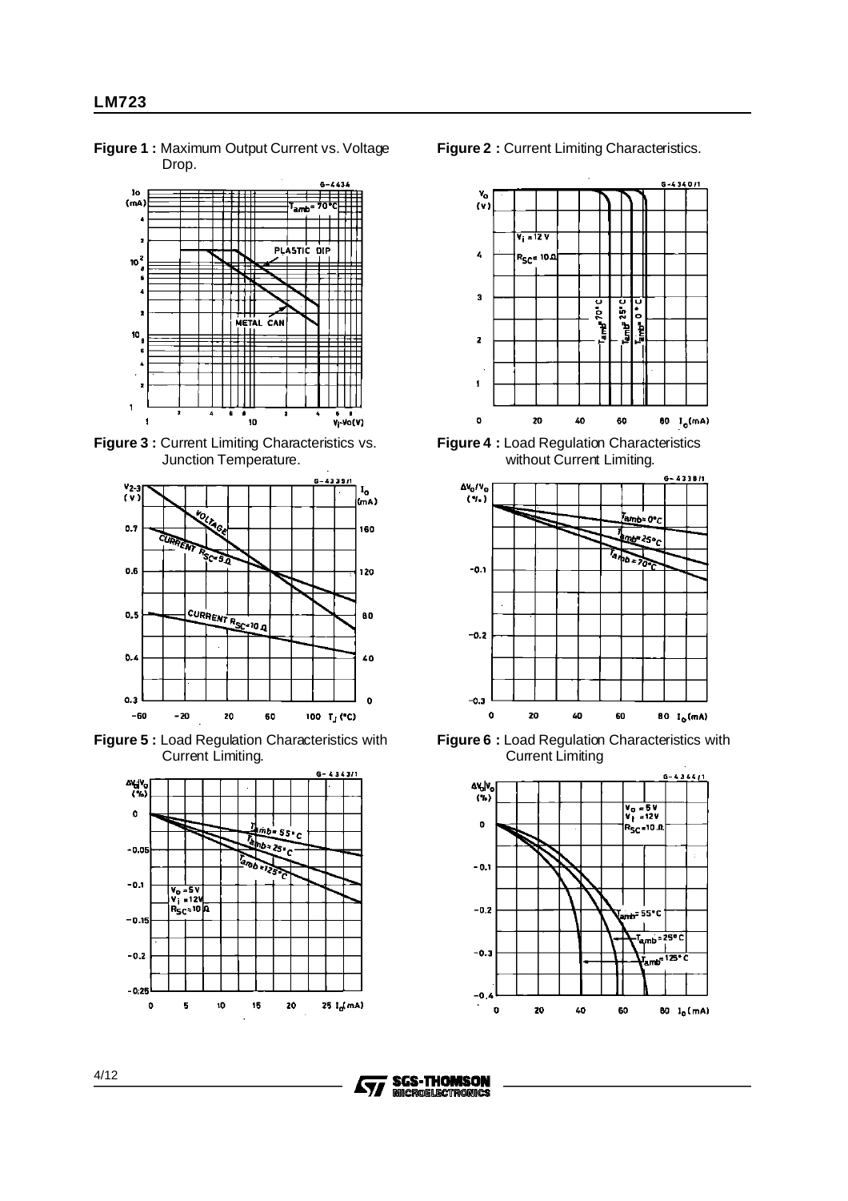lo  $(mA)$ 70 amb PLASTIC DIP 10 METAL CAN 10  $\overline{1}$ £  $\pmb{\epsilon}$  $\blacksquare$ .<br>10  $\overline{\mathbf{1}}$  $V_1$ -Vo(V)

**Figure 1 :** Maximum Output Current vs. Voltage Drop.

**Figure 3 :** Current Limiting Characteristics vs. Junction Temperature.



**Figure 5 :** Load Regulation Characteristics with Current Limiting.



**Figure 2 :** Current Limiting Characteristics.



**Figure 4 :** Load Regulation Characteristics without Current Limiting.



**Figure 6 :** Load Regulation Characteristics with Current Limiting



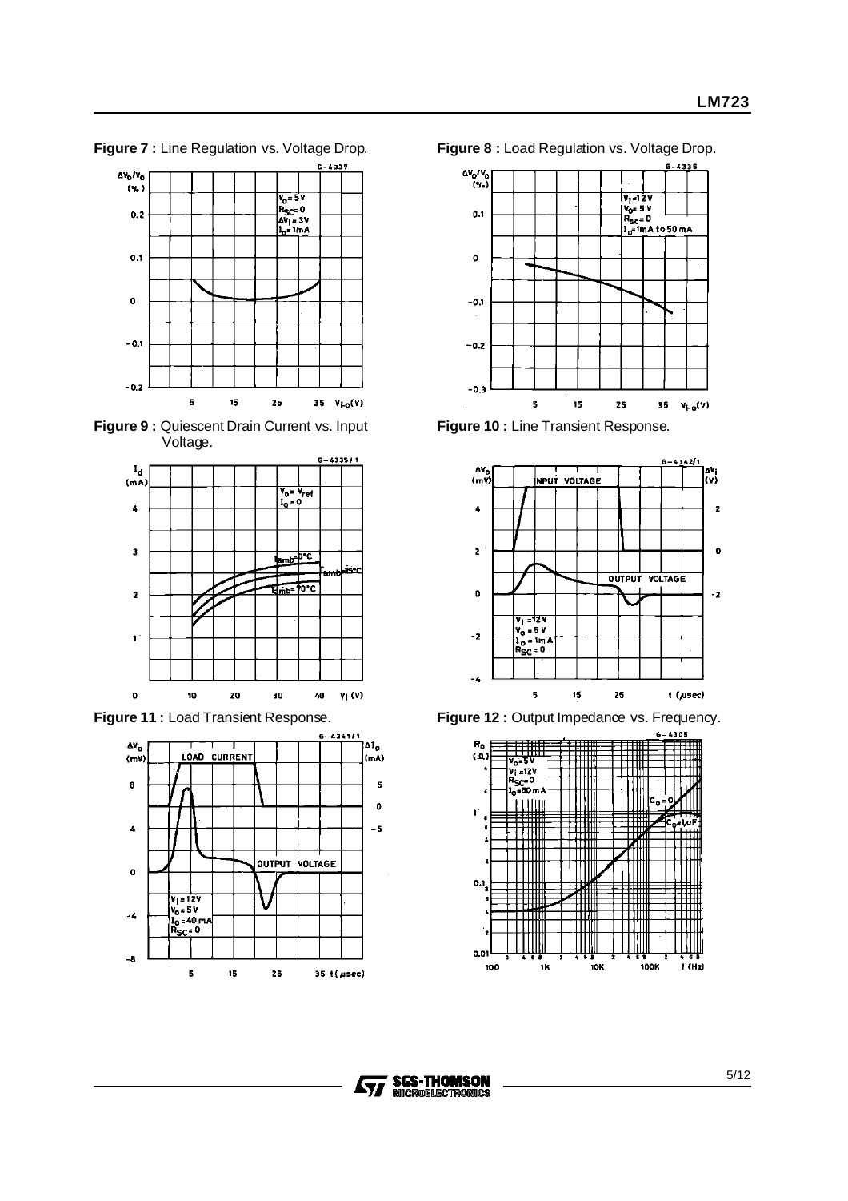$6 - 6833$  $\Delta V_0/V_0$  $(3)$  $V_0 = 5V$ <br>  $R_5c = 0$ <br>  $\Delta V_1 = 3V$ <br>  $I_0 = 1mA$  $0.2$  $0.1$  $\bullet$  $-0.1$  $-0.2$ 5 15 25 35  $V_{LO}(V)$ 







**Figure 7 :** Line Regulation vs. Voltage Drop. **Figure 8 :** Load Regulation vs. Voltage Drop.



**Figure 10 :** Line Transient Response.



**Figure 11 :** Load Transient Response. **Figure 12 :** Output Impedance vs. Frequency.



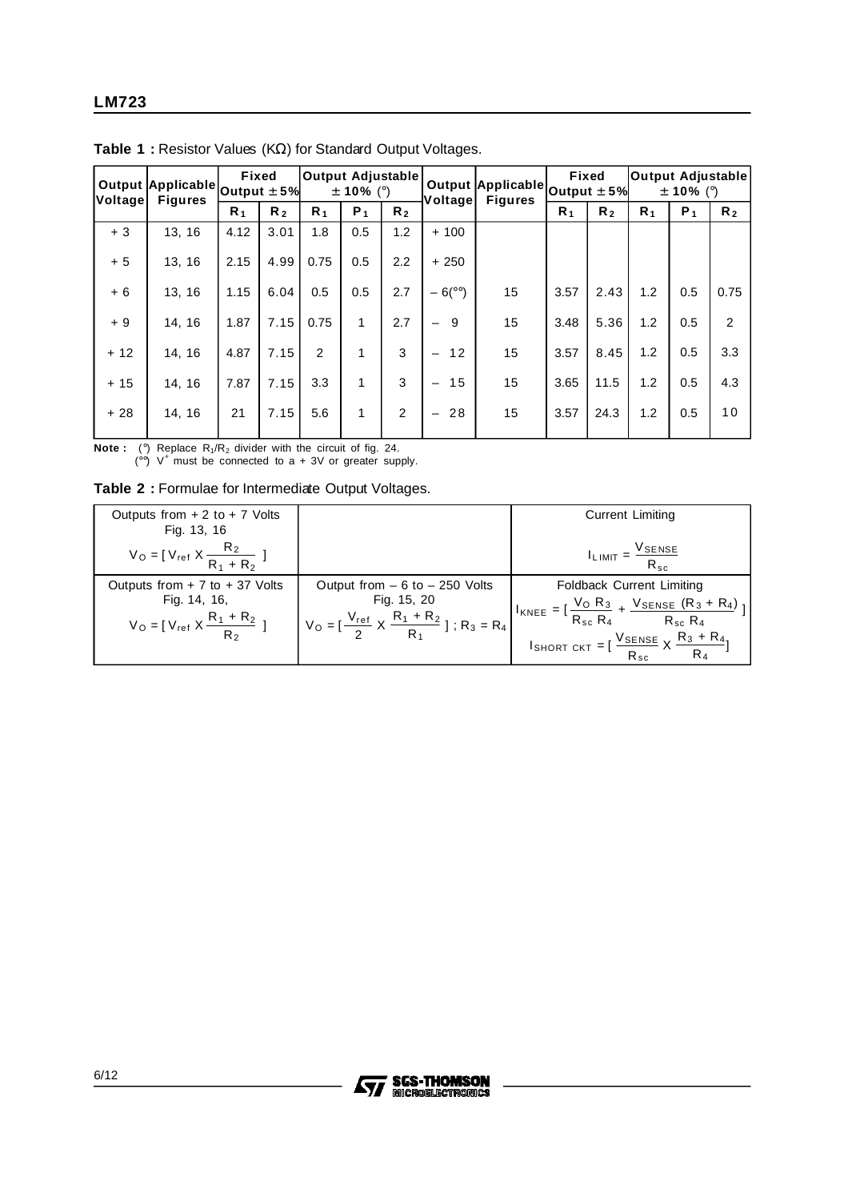| Voltage | Output $\bm{ }$ Applicable $\bm{ }$ Output $\pm$ 5% $\bm{ }$<br><b>Figures</b> | Fixed |                | Output Adjustable | $\pm$ 10% (°)  |                | Voltage                        | Output $\bm{ }$ Applicable $\bm{ }$ Output $\pm$ 5% $\bm{ }$<br><b>Figures</b> |       | Fixed          | <b>Output Adjustable</b> | $\pm$ 10% (°) |                |
|---------|--------------------------------------------------------------------------------|-------|----------------|-------------------|----------------|----------------|--------------------------------|--------------------------------------------------------------------------------|-------|----------------|--------------------------|---------------|----------------|
|         |                                                                                | $R_1$ | R <sub>2</sub> | R <sub>1</sub>    | P <sub>1</sub> | R <sub>2</sub> |                                |                                                                                | $R_1$ | R <sub>2</sub> | R <sub>1</sub>           | $P_1$         | R <sub>2</sub> |
| $+3$    | 13, 16                                                                         | 4.12  | 3.01           | 1.8               | 0.5            | 1.2            | $+100$                         |                                                                                |       |                |                          |               |                |
| $+5$    | 13, 16                                                                         | 2.15  | 4.99           | 0.75              | 0.5            | $2.2^{\circ}$  | $+250$                         |                                                                                |       |                |                          |               |                |
| $+6$    | 13, 16                                                                         | 1.15  | 6.04           | 0.5               | 0.5            | 2.7            | $-6(^\circ)$                   | 15                                                                             | 3.57  | 2.43           | 1.2                      | 0.5           | 0.75           |
| $+9$    | 14, 16                                                                         | 1.87  | 7.15           | 0.75              | 1              | 2.7            | 9                              | 15                                                                             | 3.48  | 5.36           | 1.2                      | 0.5           | 2              |
| $+12$   | 14, 16                                                                         | 4.87  | 7.15           | $\overline{2}$    | 1              | 3              | 12                             | 15                                                                             | 3.57  | 8.45           | 1.2                      | 0.5           | 3.3            |
| $+15$   | 14, 16                                                                         | 7.87  | 7.15           | 3.3               | 1              | 3              | 15                             | 15                                                                             | 3.65  | 11.5           | 1.2                      | 0.5           | 4.3            |
| $+28$   | 14, 16                                                                         | 21    | 7.15           | 5.6               | 1              | 2              | 28<br>$\overline{\phantom{0}}$ | 15                                                                             | 3.57  | 24.3           | 1.2                      | 0.5           | 10             |
|         |                                                                                |       |                |                   |                |                |                                |                                                                                |       |                |                          |               |                |

**Table 1 :** Resistor Values (KΩ) for Standard Output Voltages.

**Note :** ( $\degree$ ) Replace R<sub>1</sub>/R<sub>2</sub> divider with the circuit of fig. 24.<br>( $\degree$ ) V<sup>+</sup> must be connected to a + 3V or greater supply.

|  |  | Table 2 : Formulae for Intermediate Output Voltages. |  |  |
|--|--|------------------------------------------------------|--|--|
|  |  |                                                      |  |  |

| Outputs from $+2$ to $+7$ Volts<br>Fig. 13, 16                                                  |                                                                                                                                                          | <b>Current Limiting</b>                                                                                                                                                                                                                  |
|-------------------------------------------------------------------------------------------------|----------------------------------------------------------------------------------------------------------------------------------------------------------|------------------------------------------------------------------------------------------------------------------------------------------------------------------------------------------------------------------------------------------|
| $V_O = [V_{ref} X \frac{R_2}{R_1 + R_2}]$                                                       |                                                                                                                                                          | $\frac{V_{\text{SENSE}}}{R_{\text{sc}}}$<br>$I_{LIMIT}$ =                                                                                                                                                                                |
| Outputs from $+ 7$ to $+ 37$ Volts<br>Fig. 14, 16,<br>$V_0 = [V_{ref} X \frac{R_1 + R_2}{R_2}]$ | Output from $-6$ to $-250$ Volts<br>Fig. 15, 20<br>$V_0 = \left[\frac{V_{ref}}{2} \times \frac{R_1 + R_2}{R_1}\right]$ ; R <sub>3</sub> = R <sub>4</sub> | <b>Foldback Current Limiting</b><br>$1_{KNEE} = \left[ \frac{V_0 R_3}{R_{sc} R_4} + \frac{V_{SENSE} (R_3 + R_4)}{R_{sc} R_4} \right]$<br>ISHORT CKT = $\left[\frac{V_{\text{SENSE}}}{R_{\text{sc}}} \times \frac{R_3 + R_4}{R_4}\right]$ |

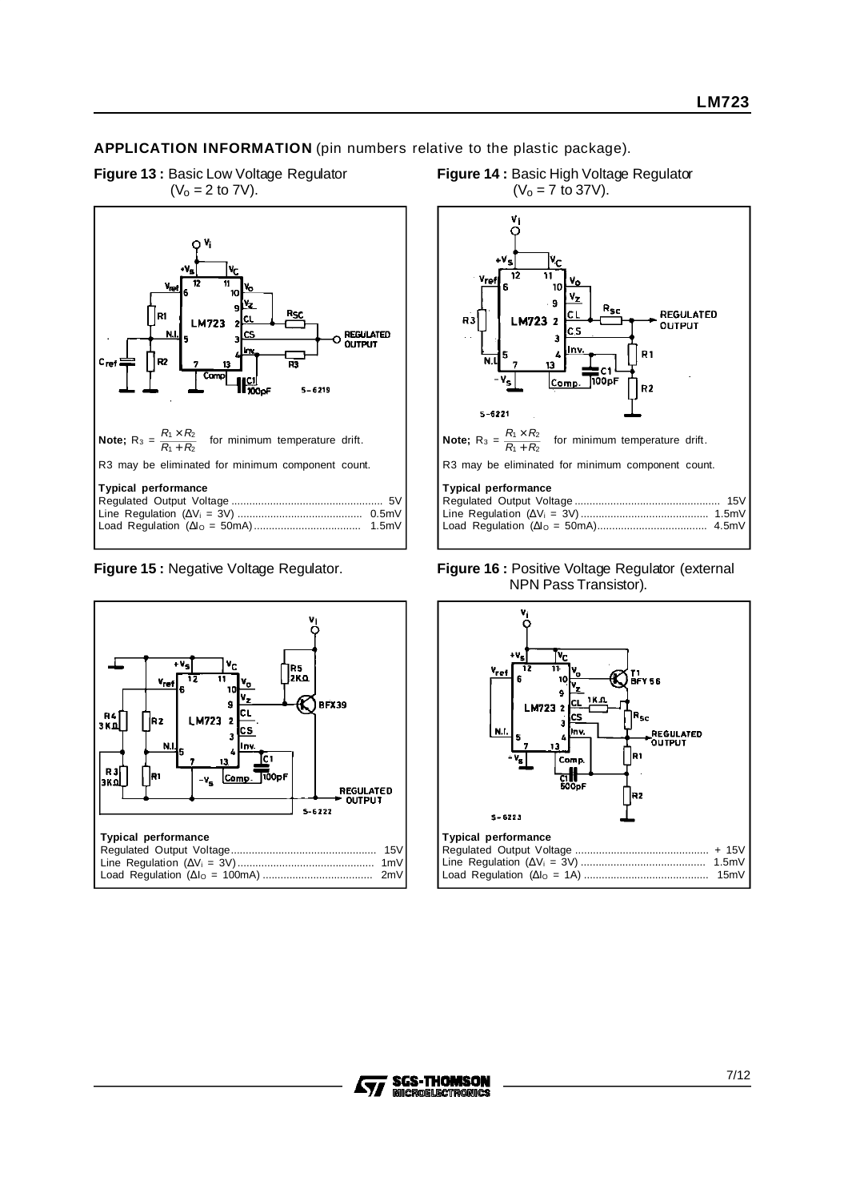**APPLICATION INFORMATION** (pin numbers relative to the plastic package).

**Figure 13 :** Basic Low Voltage Regulator  $(V_0 = 2 \text{ to } 7V).$ 







**Figure 14 :** Basic High Voltage Regulator





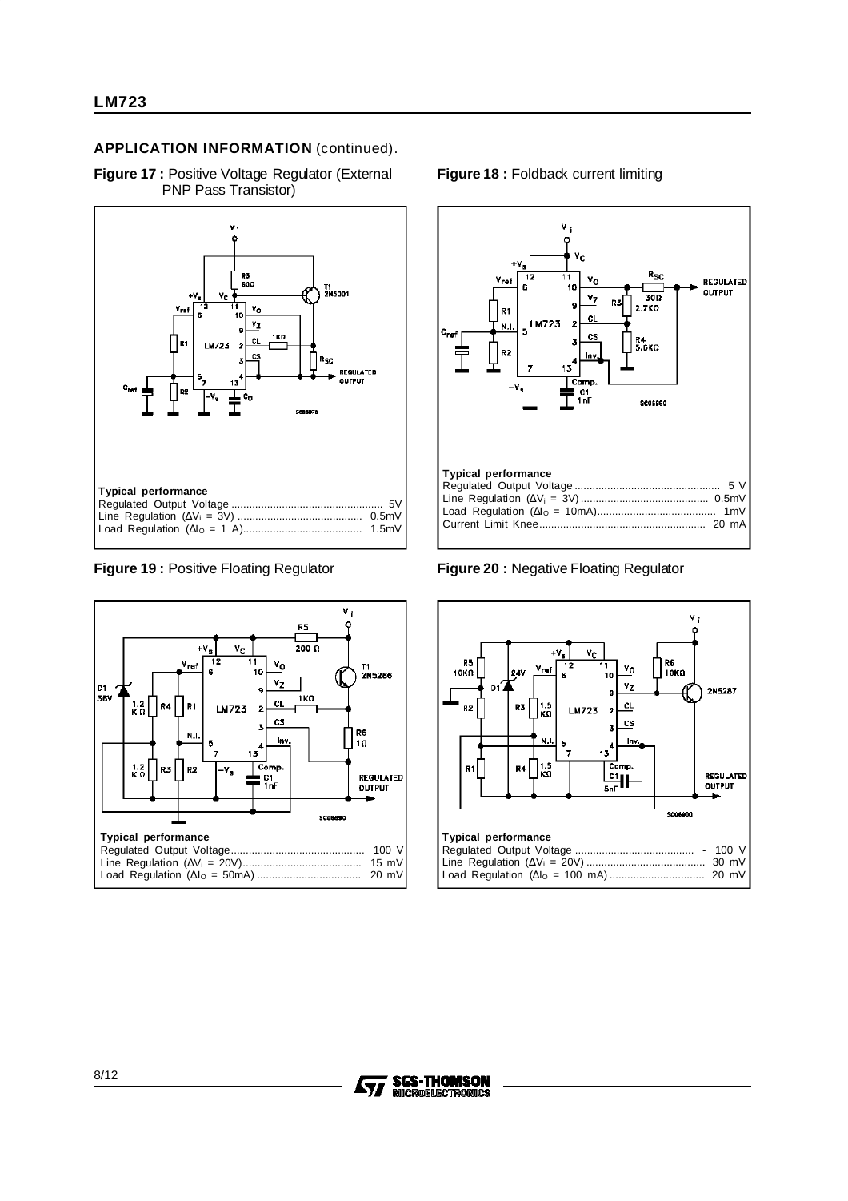## **APPLICATION INFORMATION** (continued).

**Figure 17 :** Positive Voltage Regulator (External PNP Pass Transistor)





#### **Figure 18 : Foldback current limiting**



**Figure 19 :** Positive Floating Regulator **Figure 20 :** Negative Floating Regulator



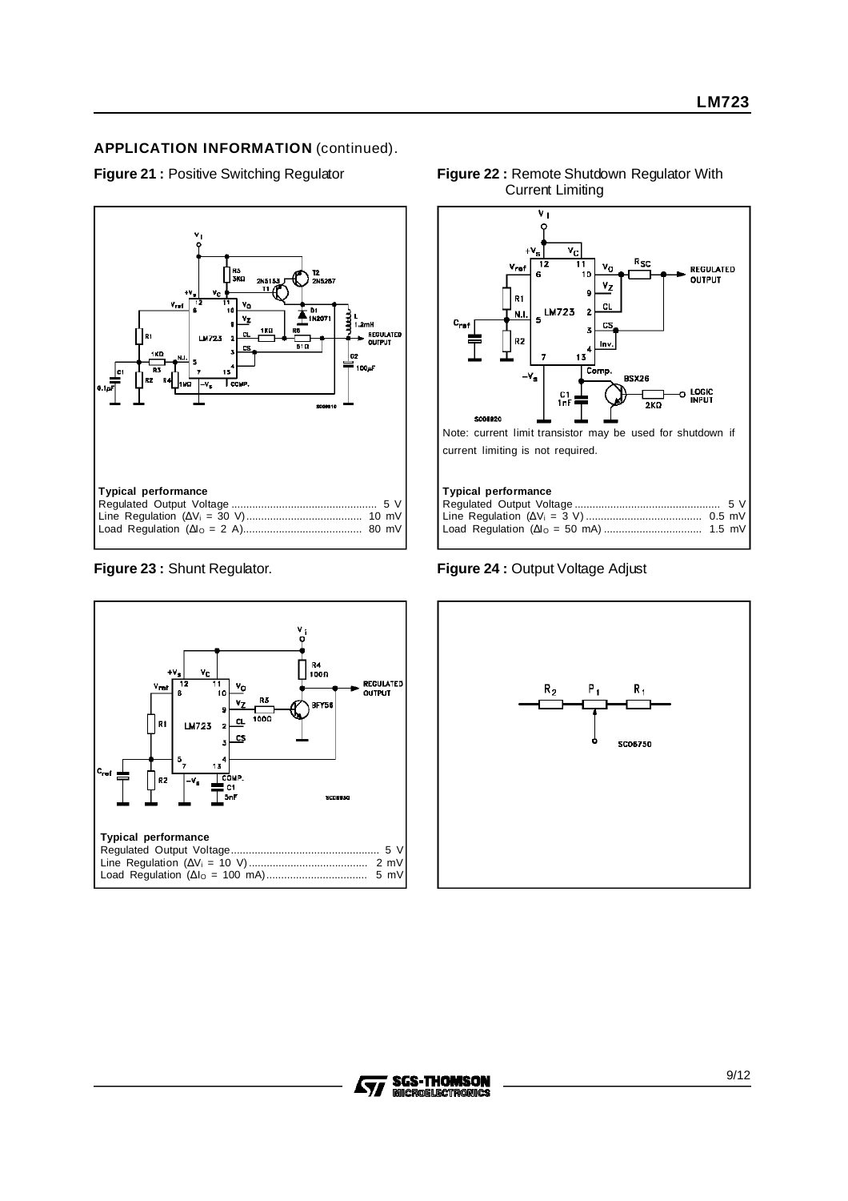# **APPLICATION INFORMATION** (continued).







## **Figure 21 :** Positive Switching Regulator **Figure 22 :** Remote Shutdown Regulator With Current Limiting

**Figure 23 :** Shunt Regulator. **Figure 24 :** Output Voltage Adjust



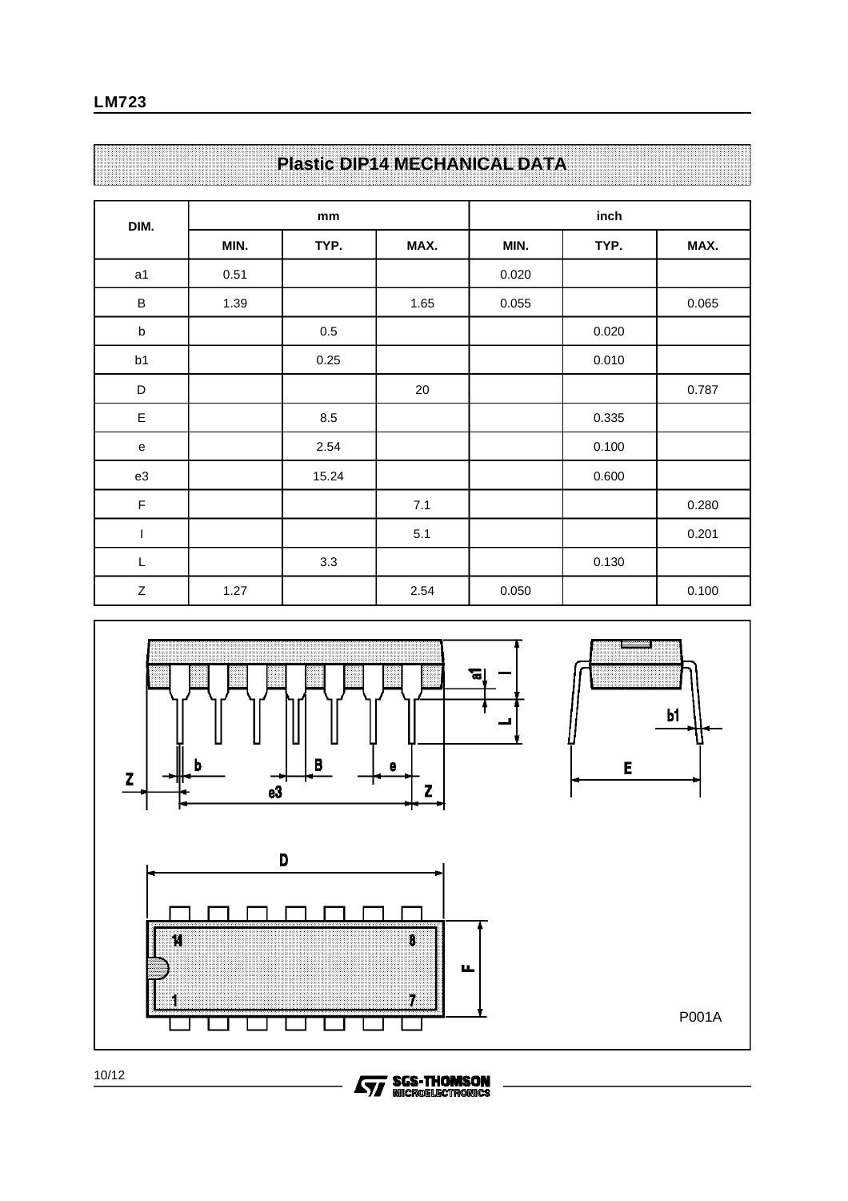# **Plastic DIP14 MECHANICAL DATA**

| DIM.             |      | mm      |      |       | inch  |       |
|------------------|------|---------|------|-------|-------|-------|
|                  | MIN. | TYP.    | MAX. | MIN.  | TYP.  | MAX.  |
| a1               | 0.51 |         |      | 0.020 |       |       |
| $\sf B$          | 1.39 |         | 1.65 | 0.055 |       | 0.065 |
| $\sf b$          |      | $0.5\,$ |      |       | 0.020 |       |
| b1               |      | 0.25    |      |       | 0.010 |       |
| D                |      |         | 20   |       |       | 0.787 |
| $\mathsf E$      |      | 8.5     |      |       | 0.335 |       |
| ${\bf e}$        |      | 2.54    |      |       | 0.100 |       |
| e3               |      | 15.24   |      |       | 0.600 |       |
| $\mathsf F$      |      |         | 7.1  |       |       | 0.280 |
| I                |      |         | 5.1  |       |       | 0.201 |
| L                |      | 3.3     |      |       | 0.130 |       |
| $\boldsymbol{Z}$ | 1.27 |         | 2.54 | 0.050 |       | 0.100 |



**SGS-THOMSON**<br>MICROELECTRONICS

ィ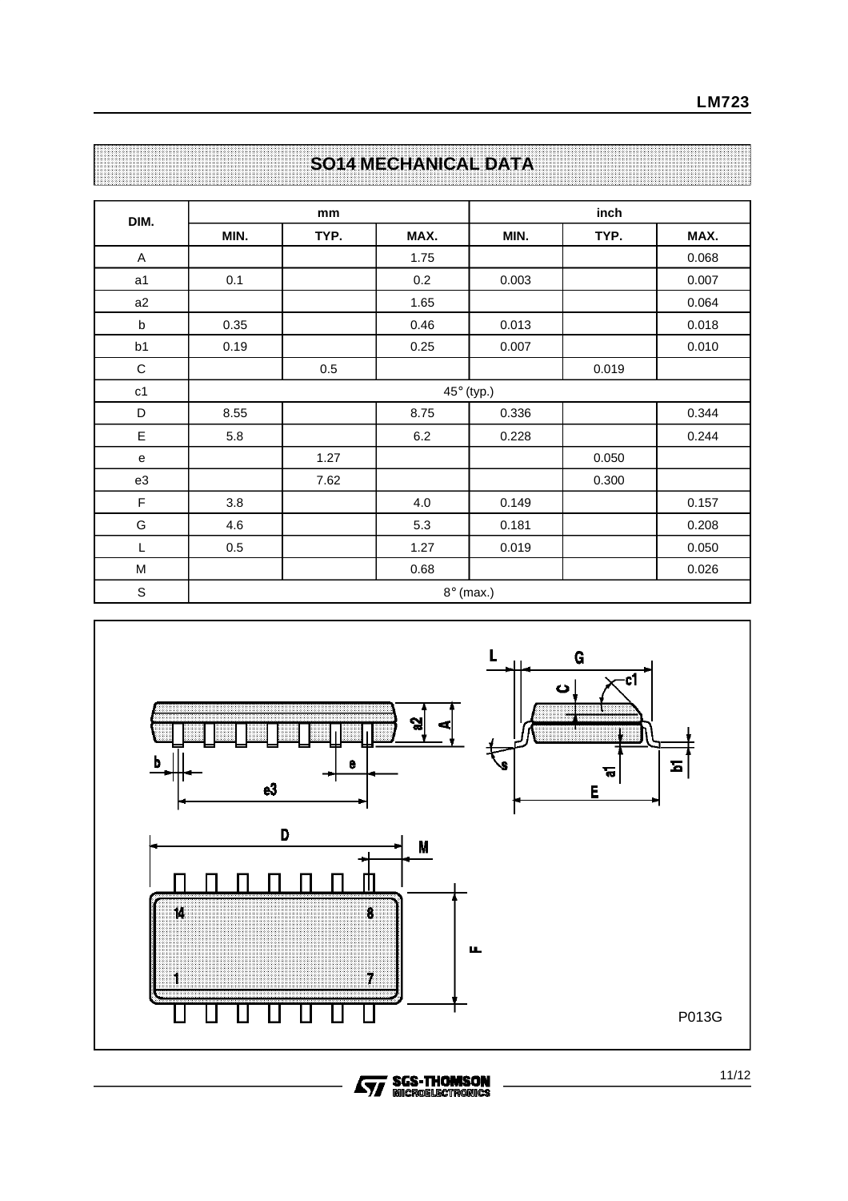|  |  | <b>SO14 MECHANICAL DATA</b> |  |  |  |  |  |  |  |  |  |  |  |  |  |  |  |  |  |  |  |  |  |  |  |  |  |  |
|--|--|-----------------------------|--|--|--|--|--|--|--|--|--|--|--|--|--|--|--|--|--|--|--|--|--|--|--|--|--|--|
|  |  |                             |  |  |  |  |  |  |  |  |  |  |  |  |  |  |  |  |  |  |  |  |  |  |  |  |  |  |

| DIM.        |      | mm   |      |                  | inch  |       |
|-------------|------|------|------|------------------|-------|-------|
|             | MIN. | TYP. | MAX. | MIN.             | TYP.  | MAX.  |
| $\mathsf A$ |      |      | 1.75 |                  |       | 0.068 |
| a1          | 0.1  |      | 0.2  | 0.003            |       | 0.007 |
| a2          |      |      | 1.65 |                  |       | 0.064 |
| b           | 0.35 |      | 0.46 | 0.013            |       | 0.018 |
| b1          | 0.19 |      | 0.25 | 0.007            |       | 0.010 |
| $\mathsf C$ |      | 0.5  |      |                  | 0.019 |       |
| c1          |      |      |      | 45° (typ.)       |       |       |
| D           | 8.55 |      | 8.75 | 0.336            |       | 0.344 |
| $\mathsf E$ | 5.8  |      | 6.2  | 0.228            |       | 0.244 |
| e           |      | 1.27 |      |                  | 0.050 |       |
| e3          |      | 7.62 |      |                  | 0.300 |       |
| F           | 3.8  |      | 4.0  | 0.149            |       | 0.157 |
| G           | 4.6  |      | 5.3  | 0.181            |       | 0.208 |
| L           | 0.5  |      | 1.27 | 0.019            |       | 0.050 |
| M           |      |      | 0.68 |                  |       | 0.026 |
| $\mathbb S$ |      |      |      | $8^\circ$ (max.) |       |       |



**AVE SGS-THOMSON**<br>MICROELISCTRONICS